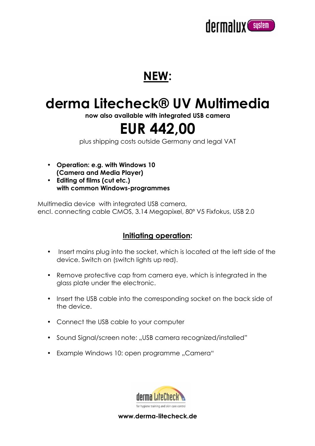

### **NEW:**

# **derma Litecheck® UV Multimedia**

**now also available with integrated USB camera**

## **EUR 442,00**

plus shipping costs outside Germany and legal VAT

- **Operation: e.g. with Windows 10 (Camera and Media Player)**
- **Editing of films (cut etc.) with common Windows-programmes**

Multimedia device with integrated USB camera, encl. connecting cable CMOS, 3.14 Megapixel, 80º V5 Fixfokus, USB 2.0

#### **Initiating operation:**

- Insert mains plug into the socket, which is located at the left side of the device. Switch on (switch lights up red).
- Remove protective cap from camera eye, which is integrated in the glass plate under the electronic.
- Insert the USB cable into the corresponding socket on the back side of the device.
- Connect the USB cable to your computer
- Sound Signal/screen note: "USB camera recognized/installed"
- Example Windows 10: open programme "Camera"



**www.derma-litecheck.de**